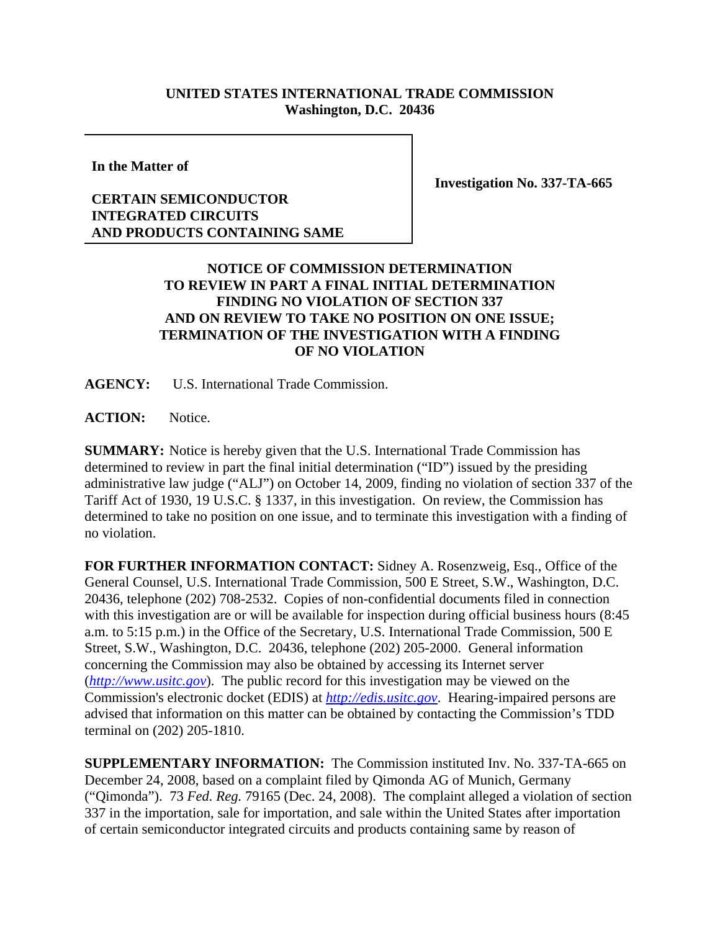## **UNITED STATES INTERNATIONAL TRADE COMMISSION Washington, D.C. 20436**

**In the Matter of**

## **CERTAIN SEMICONDUCTOR INTEGRATED CIRCUITS AND PRODUCTS CONTAINING SAME**

**Investigation No. 337-TA-665**

## **NOTICE OF COMMISSION DETERMINATION TO REVIEW IN PART A FINAL INITIAL DETERMINATION FINDING NO VIOLATION OF SECTION 337 AND ON REVIEW TO TAKE NO POSITION ON ONE ISSUE; TERMINATION OF THE INVESTIGATION WITH A FINDING OF NO VIOLATION**

**AGENCY:** U.S. International Trade Commission.

**ACTION:** Notice.

**SUMMARY:** Notice is hereby given that the U.S. International Trade Commission has determined to review in part the final initial determination ("ID") issued by the presiding administrative law judge ("ALJ") on October 14, 2009, finding no violation of section 337 of the Tariff Act of 1930, 19 U.S.C. § 1337, in this investigation. On review, the Commission has determined to take no position on one issue, and to terminate this investigation with a finding of no violation.

**FOR FURTHER INFORMATION CONTACT:** Sidney A. Rosenzweig, Esq., Office of the General Counsel, U.S. International Trade Commission, 500 E Street, S.W., Washington, D.C. 20436, telephone (202) 708-2532. Copies of non-confidential documents filed in connection with this investigation are or will be available for inspection during official business hours (8:45 a.m. to 5:15 p.m.) in the Office of the Secretary, U.S. International Trade Commission, 500 E Street, S.W., Washington, D.C. 20436, telephone (202) 205-2000. General information concerning the Commission may also be obtained by accessing its Internet server (*http://www.usitc.gov*). The public record for this investigation may be viewed on the Commission's electronic docket (EDIS) at *http://edis.usitc.gov*. Hearing-impaired persons are advised that information on this matter can be obtained by contacting the Commission's TDD terminal on (202) 205-1810.

**SUPPLEMENTARY INFORMATION:** The Commission instituted Inv. No. 337-TA-665 on December 24, 2008, based on a complaint filed by Qimonda AG of Munich, Germany ("Qimonda"). 73 *Fed. Reg.* 79165 (Dec. 24, 2008). The complaint alleged a violation of section 337 in the importation, sale for importation, and sale within the United States after importation of certain semiconductor integrated circuits and products containing same by reason of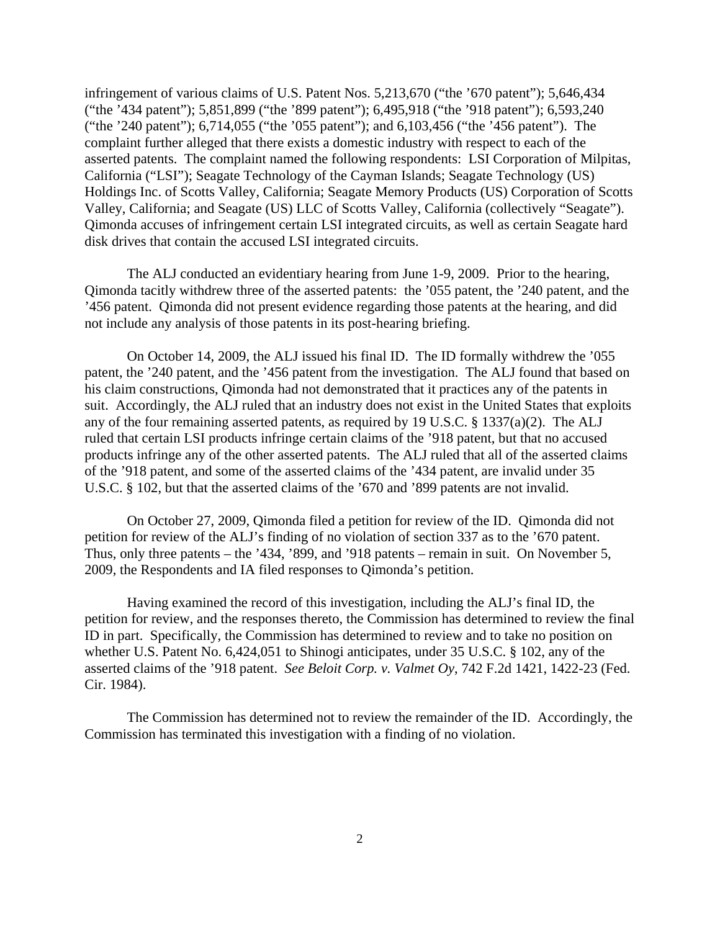infringement of various claims of U.S. Patent Nos. 5,213,670 ("the '670 patent"); 5,646,434 ("the '434 patent"); 5,851,899 ("the '899 patent"); 6,495,918 ("the '918 patent"); 6,593,240 ("the '240 patent"); 6,714,055 ("the '055 patent"); and 6,103,456 ("the '456 patent"). The complaint further alleged that there exists a domestic industry with respect to each of the asserted patents. The complaint named the following respondents: LSI Corporation of Milpitas, California ("LSI"); Seagate Technology of the Cayman Islands; Seagate Technology (US) Holdings Inc. of Scotts Valley, California; Seagate Memory Products (US) Corporation of Scotts Valley, California; and Seagate (US) LLC of Scotts Valley, California (collectively "Seagate"). Qimonda accuses of infringement certain LSI integrated circuits, as well as certain Seagate hard disk drives that contain the accused LSI integrated circuits.

The ALJ conducted an evidentiary hearing from June 1-9, 2009. Prior to the hearing, Qimonda tacitly withdrew three of the asserted patents: the '055 patent, the '240 patent, and the '456 patent. Qimonda did not present evidence regarding those patents at the hearing, and did not include any analysis of those patents in its post-hearing briefing.

On October 14, 2009, the ALJ issued his final ID. The ID formally withdrew the '055 patent, the '240 patent, and the '456 patent from the investigation. The ALJ found that based on his claim constructions, Qimonda had not demonstrated that it practices any of the patents in suit. Accordingly, the ALJ ruled that an industry does not exist in the United States that exploits any of the four remaining asserted patents, as required by 19 U.S.C. § 1337(a)(2). The ALJ ruled that certain LSI products infringe certain claims of the '918 patent, but that no accused products infringe any of the other asserted patents. The ALJ ruled that all of the asserted claims of the '918 patent, and some of the asserted claims of the '434 patent, are invalid under 35 U.S.C. § 102, but that the asserted claims of the '670 and '899 patents are not invalid.

On October 27, 2009, Qimonda filed a petition for review of the ID. Qimonda did not petition for review of the ALJ's finding of no violation of section 337 as to the '670 patent. Thus, only three patents – the '434, '899, and '918 patents – remain in suit. On November 5, 2009, the Respondents and IA filed responses to Qimonda's petition.

Having examined the record of this investigation, including the ALJ's final ID, the petition for review, and the responses thereto, the Commission has determined to review the final ID in part. Specifically, the Commission has determined to review and to take no position on whether U.S. Patent No. 6,424,051 to Shinogi anticipates, under 35 U.S.C. § 102, any of the asserted claims of the '918 patent. *See Beloit Corp. v. Valmet Oy*, 742 F.2d 1421, 1422-23 (Fed. Cir. 1984).

The Commission has determined not to review the remainder of the ID. Accordingly, the Commission has terminated this investigation with a finding of no violation.